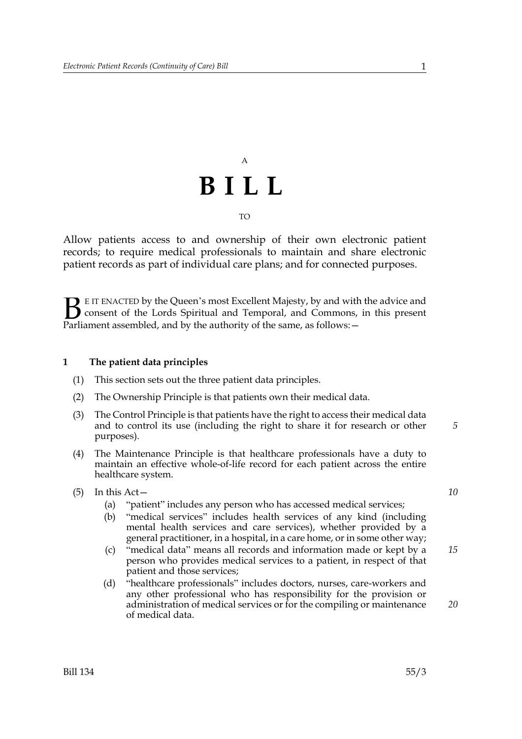## A **BILL** TO

Allow patients access to and ownership of their own electronic patient records; to require medical professionals to maintain and share electronic patient records as part of individual care plans; and for connected purposes.

E IT ENACTED by the Queen's most Excellent Majesty, by and with the advice and consent of the Lords Spiritual and Temporal, and Commons, in this present Parliament assembled, and by the authority of the same, as follows:  $\mathbf{B}_{\text{rel}}$ 

#### **1 The patient data principles**

- (1) This section sets out the three patient data principles.
- (2) The Ownership Principle is that patients own their medical data.
- (3) The Control Principle is that patients have the right to access their medical data and to control its use (including the right to share it for research or other purposes).
- (4) The Maintenance Principle is that healthcare professionals have a duty to maintain an effective whole-of-life record for each patient across the entire healthcare system.
- (5) In this Act—
	- (a) "patient" includes any person who has accessed medical services;
	- (b) "medical services" includes health services of any kind (including mental health services and care services), whether provided by a general practitioner, in a hospital, in a care home, or in some other way;
	- (c) "medical data" means all records and information made or kept by a person who provides medical services to a patient, in respect of that patient and those services;
	- (d) "healthcare professionals" includes doctors, nurses, care-workers and any other professional who has responsibility for the provision or administration of medical services or for the compiling or maintenance of medical data.

*10*

*5*

*15*

*20*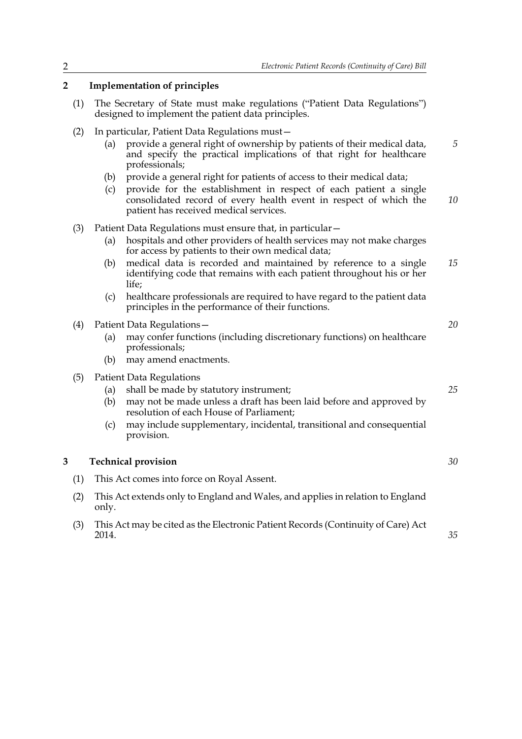*20*

*25*

*30*

*35*

### **2 Implementation of principles**

- (1) The Secretary of State must make regulations ("Patient Data Regulations") designed to implement the patient data principles.
- (2) In particular, Patient Data Regulations must—
	- (a) provide a general right of ownership by patients of their medical data, and specify the practical implications of that right for healthcare professionals; *5*
	- (b) provide a general right for patients of access to their medical data;
	- (c) provide for the establishment in respect of each patient a single consolidated record of every health event in respect of which the patient has received medical services. *10*
- (3) Patient Data Regulations must ensure that, in particular—
	- (a) hospitals and other providers of health services may not make charges for access by patients to their own medical data;
	- (b) medical data is recorded and maintained by reference to a single identifying code that remains with each patient throughout his or her life; *15*
	- (c) healthcare professionals are required to have regard to the patient data principles in the performance of their functions.

#### (4) Patient Data Regulations—

- (a) may confer functions (including discretionary functions) on healthcare professionals;
- (b) may amend enactments.
- (5) Patient Data Regulations
	- (a) shall be made by statutory instrument;
	- (b) may not be made unless a draft has been laid before and approved by resolution of each House of Parliament;
	- (c) may include supplementary, incidental, transitional and consequential provision.

#### **3 Technical provision**

- (1) This Act comes into force on Royal Assent.
- (2) This Act extends only to England and Wales, and applies in relation to England only.
- (3) This Act may be cited as the Electronic Patient Records (Continuity of Care) Act 2014.